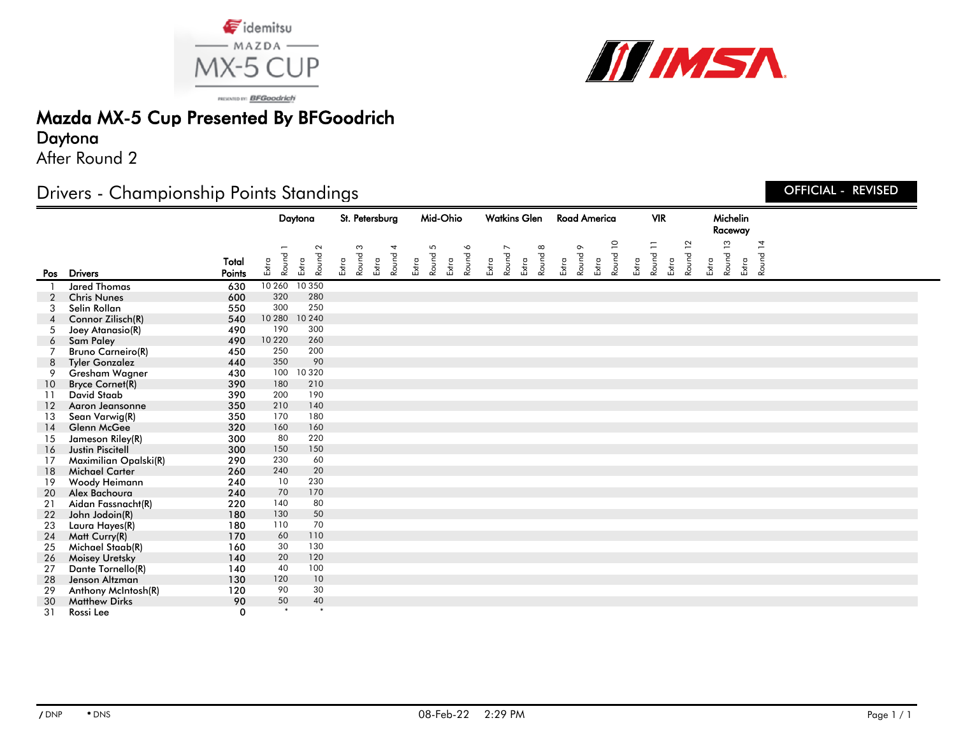



PRISONTO IV: BFGoodrich

# Mazda MX-5 Cup Presented By BFGoodrich

### Daytona

After Round 2

## Drivers - Championship Points Standings

#### Daytona St. Petersburg Mid-Ohio Watkins Glen VIR Michelin Road America Raceway **Total** Pos Drivers **Points** Extra Round Extra **Round** Extra Round Extra Round Extra Round Extra Round 6 Extra Round Extra **Round** Extra Round 9 Extra Round 10 Extra Round 11 Extra Round 12 Extra Round 13 Extra Round 14 1 **Jared Thomas** 630 10 260 10 350<br>2 Chris Nunes 600 320 280 2 Chris Nunes 600 320 280 3 Selin Rollan 550 300 250 4 Connor Zilisch(R) 540 10 280 10 240 5 Joey Atanasio(R) 490 190 300 6 Sam Paley 490 10 220 260 7 Bruno Carneiro(R) 450 250 200 8 Tyler Gonzalez 440 350 90 9 Gresham Wagner 430 100 10 320 10 Bryce Cornet(R) 390 180 210 11 David Staab 390 200 190<br>12 Aaron Jeansonne 350 210 140 12 Aaron Jeansonne 350 210 140 13 Sean Varwig(R) 350 170 180 14 Glenn McGee 320 160 160 15 Jameson Riley(R) 300 80 220 16 Justin Piscitell 300 150 150 17 Maximilian Opalski(R) 290 230 60 18 Michael Carter 260 240 20 19 Woody Heimann 240 10 230 20 Alex Bachoura 240 70 170 21 Aidan Fassnacht(R) 220 140 80 22 John Jodoin(R) 180 130 50 23 Laura Hayes(R) 180 110 70<br>24 Matt Curry (R) 170 60 110 24 Matt Curry(R) 170 60 110<br>25 Michael Staab(R) 160 30 130 25 Michael Staab(R) 160 30 130<br>26 Moisey Uretsky 1140 20 120 26 Moisey Uretsky 140 20 120 27 Dante Tornello(R) 140 40 100 **120 Jenson Altzman** 130 120 10<br>**120** 120 90 30 29 Anthony McIntosh(R) 120 90 30<br>30 Matthew Dirks 190 50 40 30 Matthew Dirks 90 50<br>31 Pessi Lee

31 Rossi Lee 0 \* \*

OFFICIAL - REVISED